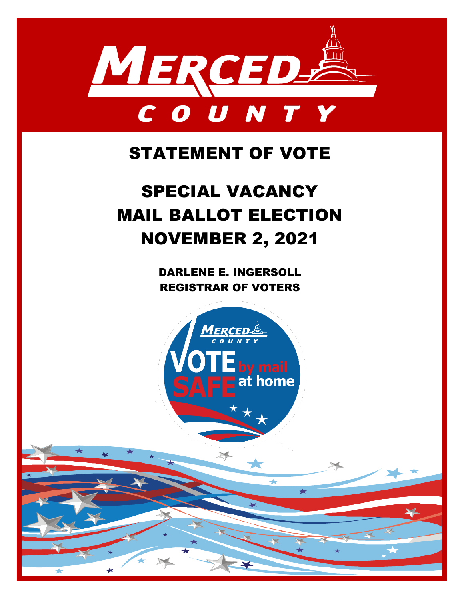

## STATEMENT OF VOTE

# SPECIAL VACANCY MAIL BALLOT ELECTION NOVEMBER 2, 2021

DARLENE E. INGERSOLL REGISTRAR OF VOTERS

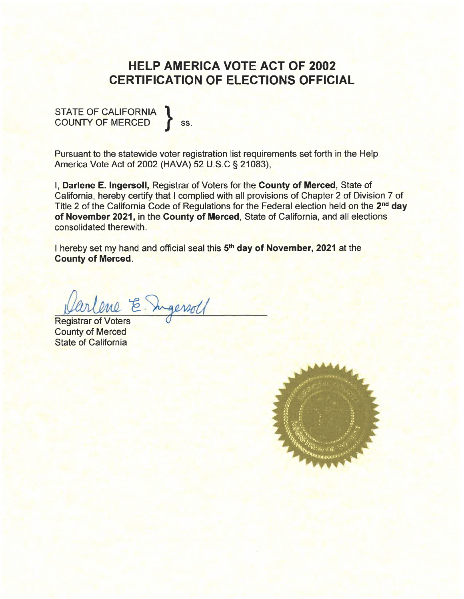## **HELP AMERICA VOTE ACT OF 2002 CERTIFICATION OF ELECTIONS OFFICIAL**

STATE OF CALIFORNIA COUNTY OF MERCED SS.

Pursuant to the statewide voter registration list requirements set forth in the Help America Vote Act of 2002 (HAVA) 52 U.S.C § 21083),

I, Darlene E. Ingersoll, Registrar of Voters for the County of Merced, State of California, hereby certify that I complied with all provisions of Chapter 2 of Division 7 of Title 2 of the California Code of Regulations for the Federal election held on the 2<sup>nd</sup> day of November 2021, in the County of Merced, State of California, and all elections consolidated therewith.

I hereby set my hand and official seal this 5<sup>th</sup> day of November, 2021 at the **County of Merced.** 

arlene E. In

**Registrar of Voters County of Merced State of California** 

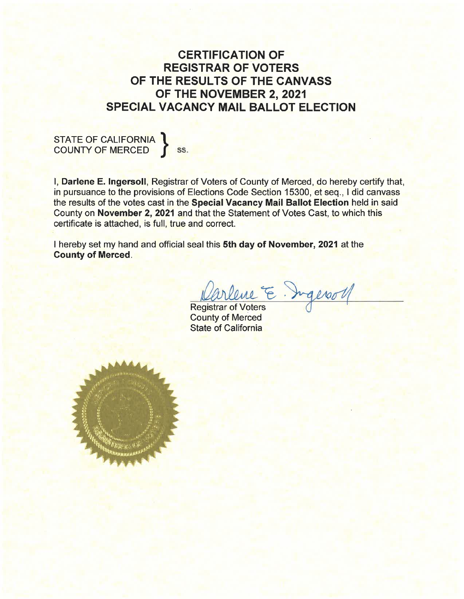### **CERTIFICATION OF REGISTRAR OF VOTERS** OF THE RESULTS OF THE CANVASS OF THE NOVEMBER 2, 2021 **SPECIAL VACANCY MAIL BALLOT ELECTION**

I, Darlene E. Ingersoll, Registrar of Voters of County of Merced, do hereby certify that, in pursuance to the provisions of Elections Code Section 15300, et seq., I did canvass the results of the votes cast in the Special Vacancy Mail Ballot Election held in said County on November 2, 2021 and that the Statement of Votes Cast, to which this certificate is attached, is full, true and correct.

I hereby set my hand and official seal this 5th day of November, 2021 at the **County of Merced.** 

Varlene E. Ingeroll

**Registrar of Voters County of Merced State of California** 

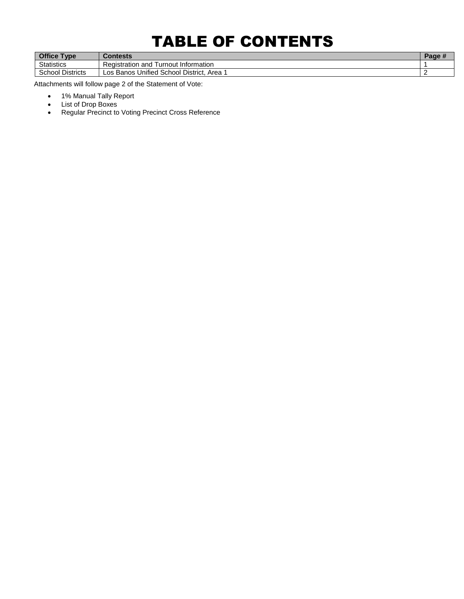## TABLE OF CONTENTS

| <b>Office Type</b>         | <b>Contests</b>                                    | -au. |
|----------------------------|----------------------------------------------------|------|
| <b>Statistics</b>          | I urnout Information<br>Registration and           |      |
| School<br><b>Districts</b> | Unified<br>l School District.<br>Area<br>Los Banos |      |

Attachments will follow page 2 of the Statement of Vote:

- 1% Manual Tally Report
- List of Drop Boxes
- Regular Precinct to Voting Precinct Cross Reference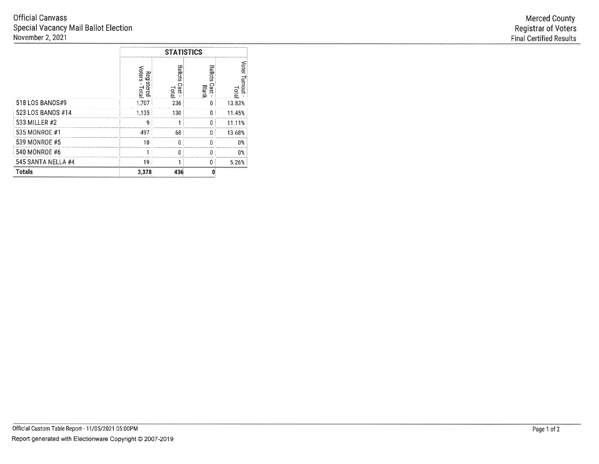|                    |                                          | <b>STATISTICS</b>              |                     |                       |  |  |  |
|--------------------|------------------------------------------|--------------------------------|---------------------|-----------------------|--|--|--|
|                    | <b>Oters</b><br>Regi<br>s<br>ered<br>ete | ᄄ<br>نة<br>ھ<br>$\overline{9}$ | Ba<br>Cast<br>Blank | oter<br>unomi<br>ete. |  |  |  |
| 518 LOS BANOS#9    | -707                                     | 236                            |                     | 13.83%                |  |  |  |
| 523 LOS BANOS #14  | 1.135                                    | 130                            |                     | 11 45%                |  |  |  |
| 533 MILLER #2      | ū                                        |                                |                     |                       |  |  |  |
| 535 MONROE #1      | 497                                      | 68                             |                     | 13.68%                |  |  |  |
| 539 MONROE #5      |                                          |                                |                     |                       |  |  |  |
| 540 MONROE #6      |                                          |                                |                     |                       |  |  |  |
| 545 SANTA NELLA #4 | ۱9                                       |                                |                     | 5.26%                 |  |  |  |
| <b>Totals</b>      | 3,378                                    | 436                            |                     |                       |  |  |  |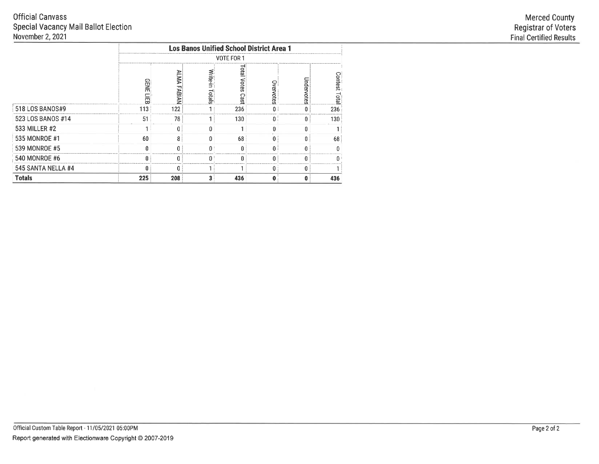## **Official Canvass** Special Vacancy Mail Ballot Election<br>November 2, 2021

|                    |                  |                     |                    | <b>Los Banos Unified School District Area 1</b> |           |            |                |
|--------------------|------------------|---------------------|--------------------|-------------------------------------------------|-----------|------------|----------------|
|                    |                  |                     |                    | VOTE FOR 1                                      |           |            |                |
|                    | <b>GENE</b><br>冨 | Šλ<br><b>FABIAN</b> | Write-in<br>Totals | e<br>Bi<br>Votes<br>Se;                         | Overvotes | Jndervotes | Contest<br>Edg |
| 518 LOS BANOS#9    | 113              | 122                 | ٩                  | 236                                             | n i       | 0          | 236            |
| 523 LOS BANOS #14  | 51               | 78                  |                    | 130                                             | 0:        | 0          | 130            |
| 533 MILLER #2      |                  |                     | n                  |                                                 |           | Û          |                |
| 535 MONROE #1      | 60               | 8                   | $\Omega$           | 68                                              |           |            | 68             |
| 539 MONROE #5      | n                |                     | $\theta$           |                                                 |           |            |                |
| 540 MONROE #6      | n                |                     | n                  |                                                 |           |            |                |
| 545 SANTA NELLA #4 | n                |                     |                    |                                                 | n         |            |                |
| <b>Totals</b>      | 225              | 208                 | 3                  | 436                                             | 0         | 0          | 436            |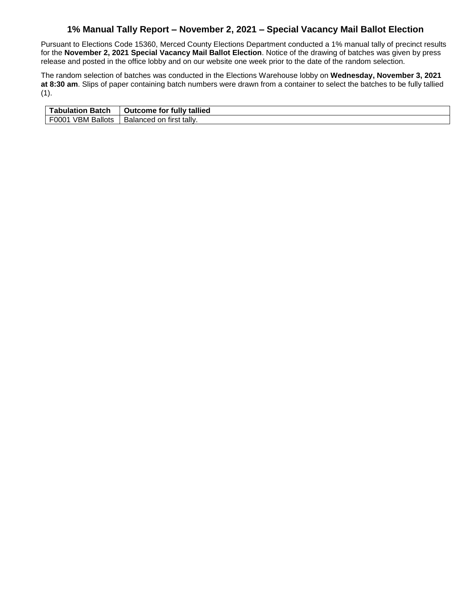#### **1% Manual Tally Report – November 2, 2021 – Special Vacancy Mail Ballot Election**

Pursuant to Elections Code 15360, Merced County Elections Department conducted a 1% manual tally of precinct results for the **November 2, 2021 Special Vacancy Mail Ballot Election**. Notice of the drawing of batches was given by press release and posted in the office lobby and on our website one week prior to the date of the random selection.

The random selection of batches was conducted in the Elections Warehouse lobby on **Wednesday, November 3, 2021 at 8:30 am**. Slips of paper containing batch numbers were drawn from a container to select the batches to be fully tallied (1).

| Tabulation Batch     | <b>Outcome for fully tallied</b>  |
|----------------------|-----------------------------------|
| VBM Ballots<br>F0001 | ∩ first tally.<br>Balanced<br>on. |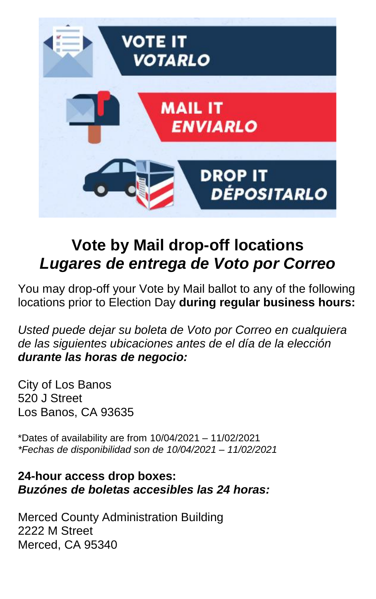

## **Vote by Mail drop-off locations** *Lugares de entrega de Voto por Correo*

You may drop-off your Vote by Mail ballot to any of the following locations prior to Election Day **during regular business hours:**

*Usted puede dejar su boleta de Voto por Correo en cualquiera de las siguientes ubicaciones antes de el día de la elección durante las horas de negocio:*

City of Los Banos 520 J Street Los Banos, CA 93635

\*Dates of availability are from 10/04/2021 – 11/02/2021 *\*Fechas de disponibilidad son de 10/04/2021 – 11/02/2021*

#### **24-hour access drop boxes:** *Buzónes de boletas accesibles las 24 horas:*

Merced County Administration Building 2222 M Street Merced, CA 95340